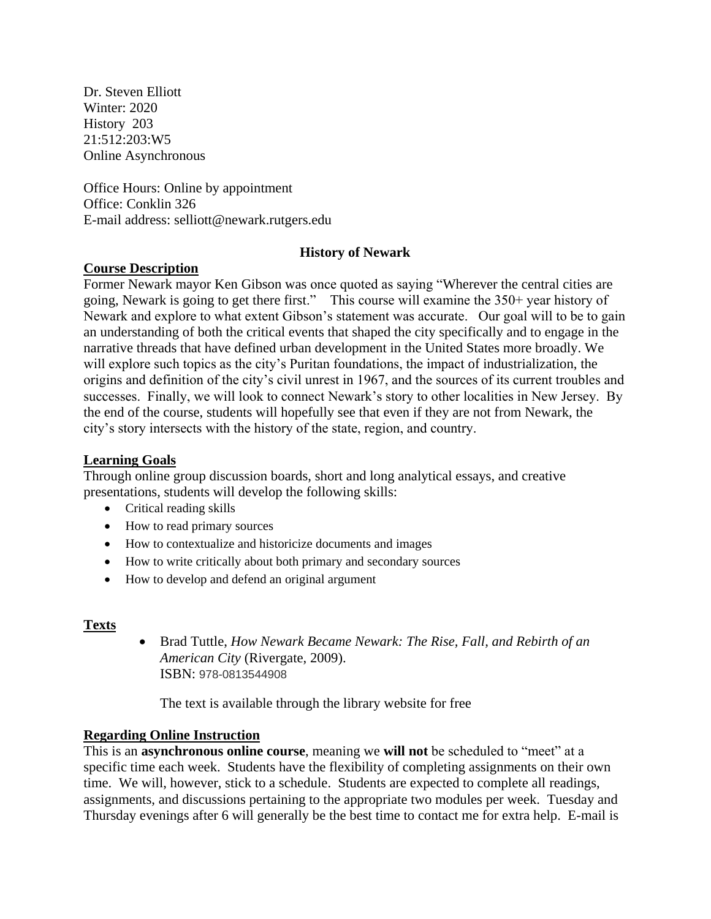Dr. Steven Elliott Winter: 2020 History 203 21:512:203:W5 Online Asynchronous

Office Hours: Online by appointment Office: Conklin 326 E-mail address: selliott@newark.rutgers.edu

## **History of Newark**

## **Course Description**

Former Newark mayor Ken Gibson was once quoted as saying "Wherever the central cities are going, Newark is going to get there first." This course will examine the 350+ year history of Newark and explore to what extent Gibson's statement was accurate. Our goal will to be to gain an understanding of both the critical events that shaped the city specifically and to engage in the narrative threads that have defined urban development in the United States more broadly. We will explore such topics as the city's Puritan foundations, the impact of industrialization, the origins and definition of the city's civil unrest in 1967, and the sources of its current troubles and successes. Finally, we will look to connect Newark's story to other localities in New Jersey. By the end of the course, students will hopefully see that even if they are not from Newark, the city's story intersects with the history of the state, region, and country.

## **Learning Goals**

Through online group discussion boards, short and long analytical essays, and creative presentations, students will develop the following skills:

- Critical reading skills
- How to read primary sources
- How to contextualize and historicize documents and images
- How to write critically about both primary and secondary sources
- How to develop and defend an original argument

# **Texts**

 Brad Tuttle, *How Newark Became Newark: The Rise, Fall, and Rebirth of an American City* (Rivergate, 2009). ISBN: 978-0813544908

The text is available through the library website for free

## **Regarding Online Instruction**

This is an **asynchronous online course**, meaning we **will not** be scheduled to "meet" at a specific time each week. Students have the flexibility of completing assignments on their own time. We will, however, stick to a schedule. Students are expected to complete all readings, assignments, and discussions pertaining to the appropriate two modules per week. Tuesday and Thursday evenings after 6 will generally be the best time to contact me for extra help. E-mail is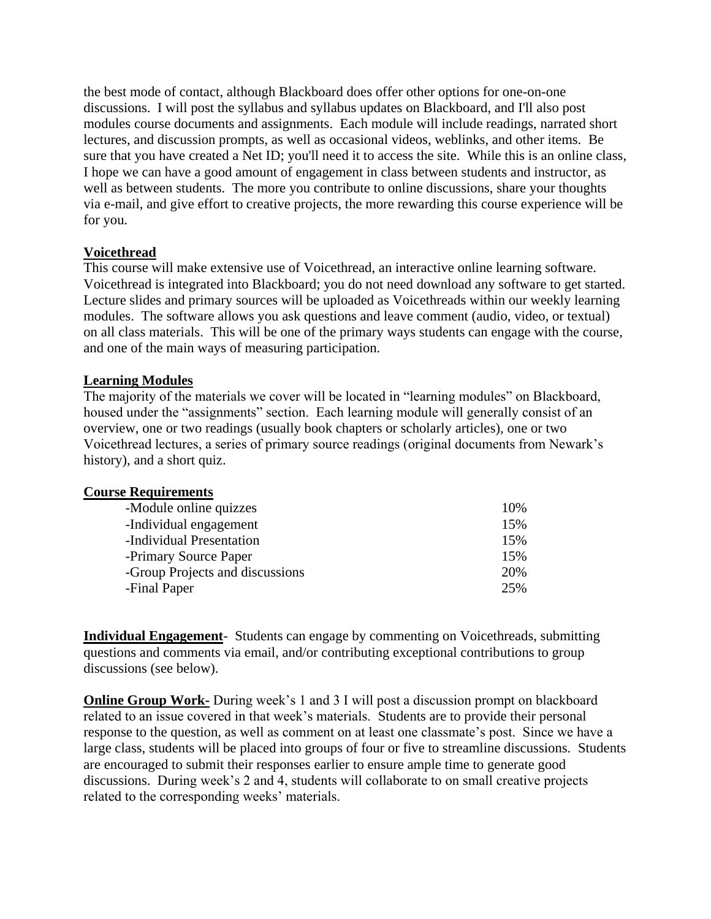the best mode of contact, although Blackboard does offer other options for one-on-one discussions. I will post the syllabus and syllabus updates on Blackboard, and I'll also post modules course documents and assignments. Each module will include readings, narrated short lectures, and discussion prompts, as well as occasional videos, weblinks, and other items. Be sure that you have created a Net ID; you'll need it to access the site. While this is an online class, I hope we can have a good amount of engagement in class between students and instructor, as well as between students. The more you contribute to online discussions, share your thoughts via e-mail, and give effort to creative projects, the more rewarding this course experience will be for you.

## **Voicethread**

This course will make extensive use of Voicethread, an interactive online learning software. Voicethread is integrated into Blackboard; you do not need download any software to get started. Lecture slides and primary sources will be uploaded as Voicethreads within our weekly learning modules. The software allows you ask questions and leave comment (audio, video, or textual) on all class materials. This will be one of the primary ways students can engage with the course, and one of the main ways of measuring participation.

## **Learning Modules**

The majority of the materials we cover will be located in "learning modules" on Blackboard, housed under the "assignments" section. Each learning module will generally consist of an overview, one or two readings (usually book chapters or scholarly articles), one or two Voicethread lectures, a series of primary source readings (original documents from Newark's history), and a short quiz.

## **Course Requirements**

| -Module online quizzes          | 10% |
|---------------------------------|-----|
| -Individual engagement          | 15% |
| -Individual Presentation        | 15% |
| -Primary Source Paper           | 15% |
| -Group Projects and discussions | 20% |
| -Final Paper                    | 25% |
|                                 |     |

**Individual Engagement**- Students can engage by commenting on Voicethreads, submitting questions and comments via email, and/or contributing exceptional contributions to group discussions (see below).

**Online Group Work-** During week's 1 and 3 I will post a discussion prompt on blackboard related to an issue covered in that week's materials. Students are to provide their personal response to the question, as well as comment on at least one classmate's post. Since we have a large class, students will be placed into groups of four or five to streamline discussions. Students are encouraged to submit their responses earlier to ensure ample time to generate good discussions. During week's 2 and 4, students will collaborate to on small creative projects related to the corresponding weeks' materials.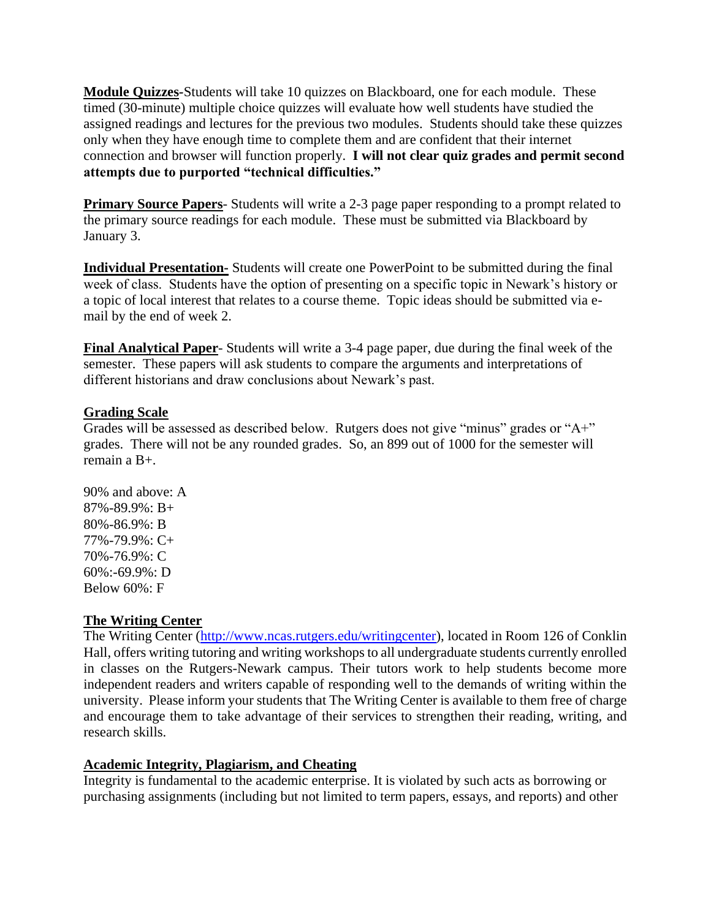**Module Quizzes***-*Students will take 10 quizzes on Blackboard, one for each module. These timed (30-minute) multiple choice quizzes will evaluate how well students have studied the assigned readings and lectures for the previous two modules. Students should take these quizzes only when they have enough time to complete them and are confident that their internet connection and browser will function properly. **I will not clear quiz grades and permit second attempts due to purported "technical difficulties."**

**Primary Source Papers-** Students will write a 2-3 page paper responding to a prompt related to the primary source readings for each module. These must be submitted via Blackboard by January 3.

**Individual Presentation-** Students will create one PowerPoint to be submitted during the final week of class. Students have the option of presenting on a specific topic in Newark's history or a topic of local interest that relates to a course theme. Topic ideas should be submitted via email by the end of week 2.

**Final Analytical Paper**- Students will write a 3-4 page paper, due during the final week of the semester. These papers will ask students to compare the arguments and interpretations of different historians and draw conclusions about Newark's past.

## **Grading Scale**

Grades will be assessed as described below. Rutgers does not give "minus" grades or "A+" grades. There will not be any rounded grades. So, an 899 out of 1000 for the semester will remain a B+.

90% and above: A 87%-89.9%: B+ 80%-86.9%: B 77%-79.9%: C+ 70%-76.9%: C 60%:-69.9%: D Below 60%: F

# **The Writing Center**

The Writing Center [\(http://www.ncas.rutgers.edu/writingcenter\)](http://www.ncas.rutgers.edu/writingcenter), located in Room 126 of Conklin Hall, offers writing tutoring and writing workshops to all undergraduate students currently enrolled in classes on the Rutgers-Newark campus. Their tutors work to help students become more independent readers and writers capable of responding well to the demands of writing within the university. Please inform your students that The Writing Center is available to them free of charge and encourage them to take advantage of their services to strengthen their reading, writing, and research skills.

# **Academic Integrity, Plagiarism, and Cheating**

Integrity is fundamental to the academic enterprise. It is violated by such acts as borrowing or purchasing assignments (including but not limited to term papers, essays, and reports) and other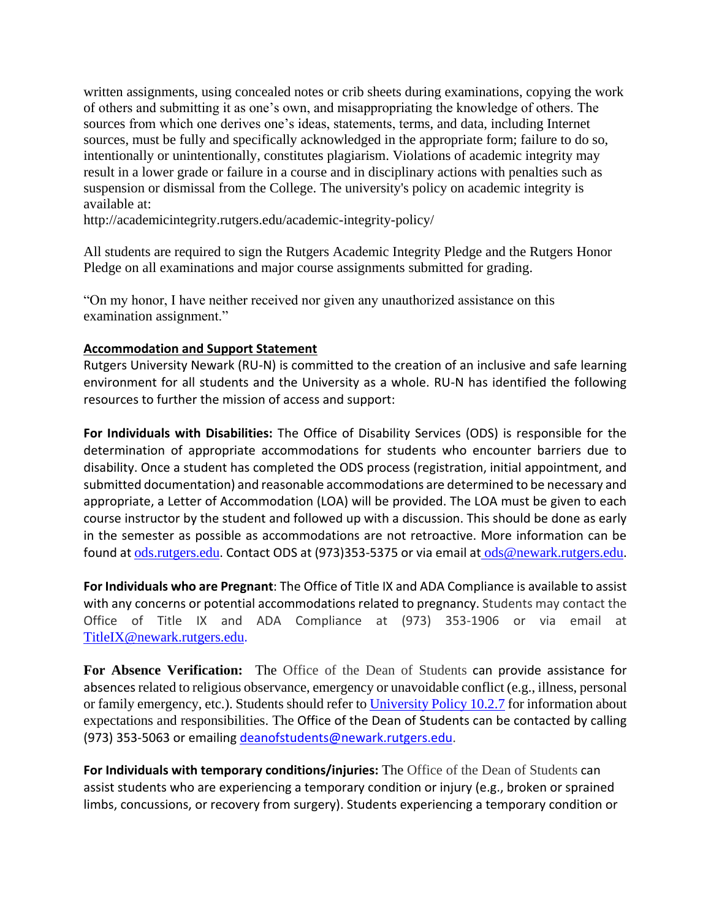written assignments, using concealed notes or crib sheets during examinations, copying the work of others and submitting it as one's own, and misappropriating the knowledge of others. The sources from which one derives one's ideas, statements, terms, and data, including Internet sources, must be fully and specifically acknowledged in the appropriate form; failure to do so, intentionally or unintentionally, constitutes plagiarism. Violations of academic integrity may result in a lower grade or failure in a course and in disciplinary actions with penalties such as suspension or dismissal from the College. The university's policy on academic integrity is available at:

http://academicintegrity.rutgers.edu/academic-integrity-policy/

All students are required to sign the Rutgers Academic Integrity Pledge and the Rutgers Honor Pledge on all examinations and major course assignments submitted for grading.

"On my honor, I have neither received nor given any unauthorized assistance on this examination assignment."

## **Accommodation and Support Statement**

Rutgers University Newark (RU-N) is committed to the creation of an inclusive and safe learning environment for all students and the University as a whole. RU-N has identified the following resources to further the mission of access and support:

**For Individuals with Disabilities:** The Office of Disability Services (ODS) is responsible for the determination of appropriate accommodations for students who encounter barriers due to disability. Once a student has completed the ODS process (registration, initial appointment, and submitted documentation) and reasonable accommodations are determined to be necessary and appropriate, a Letter of Accommodation (LOA) will be provided. The LOA must be given to each course instructor by the student and followed up with a discussion. This should be done as early in the semester as possible as accommodations are not retroactive. More information can be found at [ods.rutgers.edu](https://ods.rutgers.edu/). Contact ODS at (973)353-5375 or via email at [ods@newark.rutgers.edu](mailto:ods@newark.rutgers.edu).

**For Individuals who are Pregnant**: The Office of Title IX and ADA Compliance is available to assist with any concerns or potential accommodations related to pregnancy. Students may contact the Office of Title IX and ADA Compliance at (973) 353-1906 or via email at [TitleIX@newark.rutgers.edu](mailto:TitleIX@newark.rutgers.edu).

**For Absence Verification:** The Office of the Dean of Students can provide assistance for absences related to religious observance, emergency or unavoidable conflict (e.g., illness, personal or family emergency, etc.). Students should refer to [University Policy 10.2.7](https://policies.rutgers.edu/1027-currentpdf) for information about expectations and responsibilities. The Office of the Dean of Students can be contacted by calling (973) 353-5063 or emailing [deanofstudents@newark.rutgers.edu](mailto:deanofstudents@newark.rutgers.edu).

**For Individuals with temporary conditions/injuries:** The Office of the Dean of Students can assist students who are experiencing a temporary condition or injury (e.g., broken or sprained limbs, concussions, or recovery from surgery). Students experiencing a temporary condition or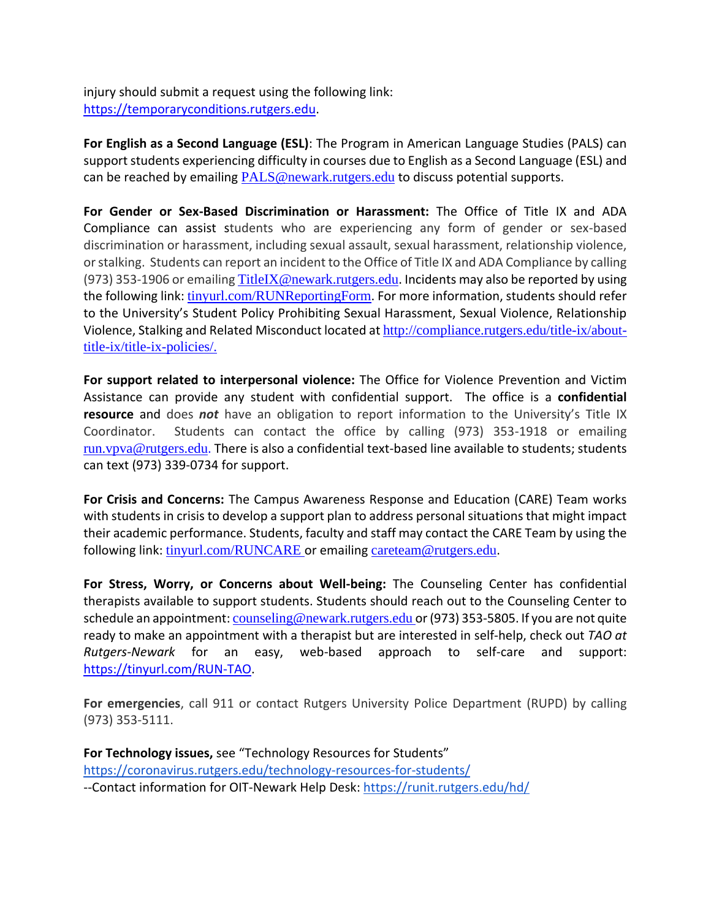injury should submit a request using the following link: [https://temporaryconditions.rutgers.edu.](https://temporaryconditions.rutgers.edu/)

**For English as a Second Language (ESL)**: The Program in American Language Studies (PALS) can support students experiencing difficulty in courses due to English as a Second Language (ESL) and can be reached by emailing [PALS@newark.rutgers.edu](mailto:PALS@newark.rutgers.edu) to discuss potential supports.

**For Gender or Sex-Based Discrimination or Harassment:** The Office of Title IX and ADA Compliance can assist students who are experiencing any form of gender or sex-based discrimination or harassment, including sexual assault, sexual harassment, relationship violence, or stalking. Students can report an incident to the Office of Title IX and ADA Compliance by calling (973) 353-1906 or emailing [TitleIX@newark.rutgers.edu](mailto:TitleIX@newark.rutgers.edu). Incidents may also be reported by using the following link: tinyurl.com/RUNReportingForm. For more information, students should refer to the University's Student Policy Prohibiting Sexual Harassment, Sexual Violence, Relationship Violence, Stalking and Related Misconduct located at http://compliance.rutgers.edu/title-ix/abouttitle-ix/title-ix-policies/.

**For support related to interpersonal violence:** The Office for Violence Prevention and Victim Assistance can provide any student with confidential support. The office is a **confidential resource** and does *not* have an obligation to report information to the University's Title IX Coordinator. Students can contact the office by calling (973) 353-1918 or emailing [run.vpva@rutgers.edu](mailto:run.vpva@rutgers.edu). There is also a confidential text-based line available to students; students can text (973) 339-0734 for support.

**For Crisis and Concerns:** The Campus Awareness Response and Education (CARE) Team works with students in crisis to develop a support plan to address personal situations that might impact their academic performance. Students, faculty and staff may contact the CARE Team by using the following link: [tinyurl.com/RUNCARE](https://cm.maxient.com/reportingform.php?RutgersUniv&layout_id=11) or emailing [careteam@rutgers.edu](mailto:careteam@rutgers.edu).

**For Stress, Worry, or Concerns about Well-being:** The Counseling Center has confidential therapists available to support students. Students should reach out to the Counseling Center to schedule an appointment: [counseling@newark.rutgers.edu](mailto:counseling@newark.rutgers.edu) or (973) 353-5805. If you are not quite ready to make an appointment with a therapist but are interested in self-help, check out *TAO at Rutgers-Newark* for an easy, web-based approach to self-care and support: [https://tinyurl.com/RUN-TAO.](https://tinyurl.com/RUN-TAO)

**For emergencies**, call 911 or contact Rutgers University Police Department (RUPD) by calling (973) 353-5111.

**For Technology issues,** see "Technology Resources for Students" <https://coronavirus.rutgers.edu/technology-resources-for-students/> --Contact information for OIT-Newark Help Desk: <https://runit.rutgers.edu/hd/>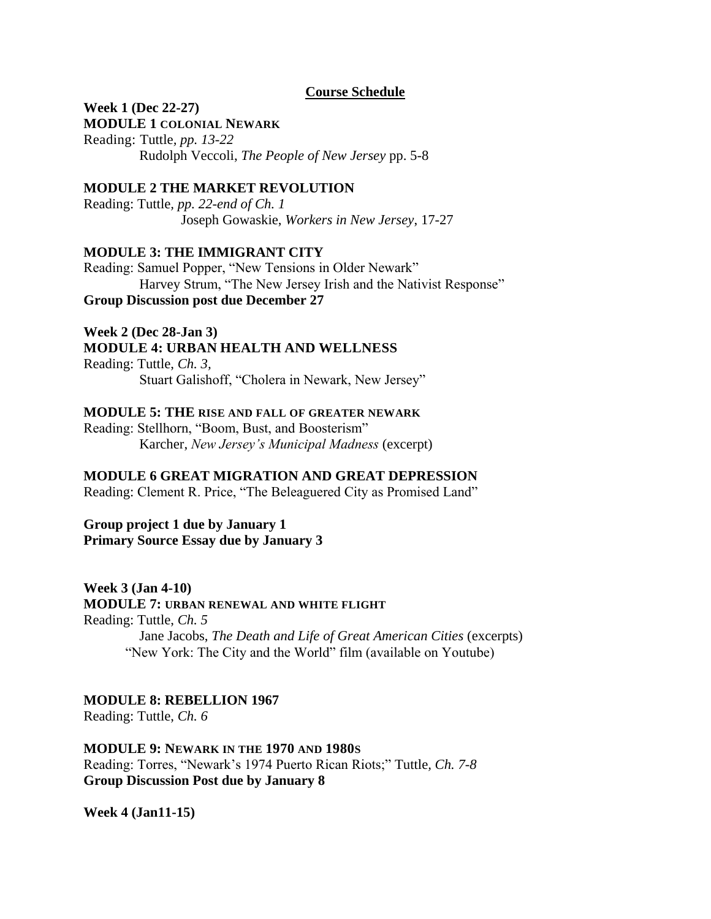## **Course Schedule**

# **Week 1 (Dec 22-27)**

**MODULE 1 COLONIAL NEWARK**

Reading: Tuttle*, pp. 13-22* Rudolph Veccoli, *The People of New Jersey* pp. 5-8

## **MODULE 2 THE MARKET REVOLUTION**

Reading: Tuttle*, pp. 22-end of Ch. 1* Joseph Gowaskie, *Workers in New Jersey*, 17-27

## **MODULE 3: THE IMMIGRANT CITY**

Reading: Samuel Popper, "New Tensions in Older Newark" Harvey Strum, "The New Jersey Irish and the Nativist Response" **Group Discussion post due December 27**

## **Week 2 (Dec 28-Jan 3) MODULE 4: URBAN HEALTH AND WELLNESS**

Reading: Tuttle, *Ch. 3,*  Stuart Galishoff, "Cholera in Newark, New Jersey"

## **MODULE 5: THE RISE AND FALL OF GREATER NEWARK**

Reading: Stellhorn, "Boom, Bust, and Boosterism" Karcher, *New Jersey's Municipal Madness* (excerpt)

# **MODULE 6 GREAT MIGRATION AND GREAT DEPRESSION**

Reading: Clement R. Price, "The Beleaguered City as Promised Land"

**Group project 1 due by January 1 Primary Source Essay due by January 3**

## **Week 3 (Jan 4-10)**

**MODULE 7: URBAN RENEWAL AND WHITE FLIGHT**

Reading: Tuttle, *Ch. 5*

Jane Jacobs, *The Death and Life of Great American Cities* (excerpts) "New York: The City and the World" film (available on Youtube)

# **MODULE 8: REBELLION 1967**

Reading: Tuttle, *Ch. 6*

## **MODULE 9: NEWARK IN THE 1970 AND 1980S**

Reading: Torres, "Newark's 1974 Puerto Rican Riots;" Tuttle*, Ch. 7-8* **Group Discussion Post due by January 8**

**Week 4 (Jan11-15)**